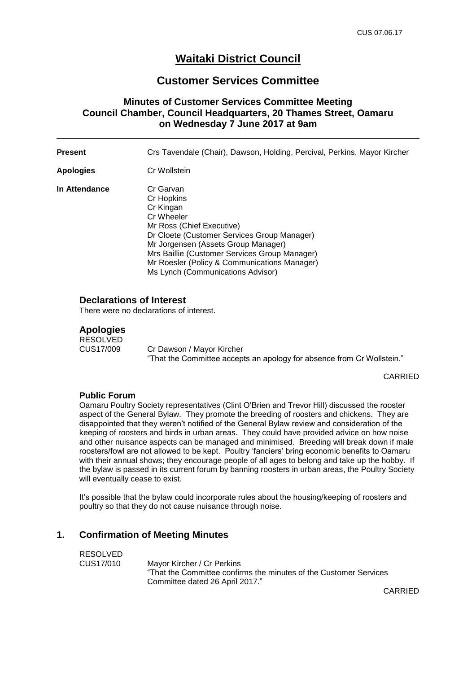# **Waitaki District Council**

# **Customer Services Committee**

### **Minutes of Customer Services Committee Meeting Council Chamber, Council Headquarters, 20 Thames Street, Oamaru on Wednesday 7 June 2017 at 9am**

| Present       | Crs Tavendale (Chair), Dawson, Holding, Percival, Perkins, Mayor Kircher                                                                                                                                                                                                                                    |
|---------------|-------------------------------------------------------------------------------------------------------------------------------------------------------------------------------------------------------------------------------------------------------------------------------------------------------------|
| Apologies     | Cr Wollstein                                                                                                                                                                                                                                                                                                |
| In Attendance | Cr Garvan<br>Cr Hopkins<br>Cr Kingan<br>Cr Wheeler<br>Mr Ross (Chief Executive)<br>Dr Cloete (Customer Services Group Manager)<br>Mr Jorgensen (Assets Group Manager)<br>Mrs Baillie (Customer Services Group Manager)<br>Mr Roesler (Policy & Communications Manager)<br>Ms Lynch (Communications Advisor) |

#### **Declarations of Interest**

There were no declarations of interest.

#### **Apologies**

RESOLVED<br>CUS17/009 Cr Dawson / Mayor Kircher "That the Committee accepts an apology for absence from Cr Wollstein."

CARRIED

#### **Public Forum**

Oamaru Poultry Society representatives (Clint O'Brien and Trevor Hill) discussed the rooster aspect of the General Bylaw. They promote the breeding of roosters and chickens. They are disappointed that they weren't notified of the General Bylaw review and consideration of the keeping of roosters and birds in urban areas. They could have provided advice on how noise and other nuisance aspects can be managed and minimised. Breeding will break down if male roosters/fowl are not allowed to be kept. Poultry 'fanciers' bring economic benefits to Oamaru with their annual shows; they encourage people of all ages to belong and take up the hobby. If the bylaw is passed in its current forum by banning roosters in urban areas, the Poultry Society will eventually cease to exist.

It's possible that the bylaw could incorporate rules about the housing/keeping of roosters and poultry so that they do not cause nuisance through noise.

#### **1. Confirmation of Meeting Minutes**

| RESOLVED  |                                                                    |
|-----------|--------------------------------------------------------------------|
| CUS17/010 | Mavor Kircher / Cr Perkins                                         |
|           | "That the Committee confirms the minutes of the Customer Services" |
|           | Committee dated 26 April 2017."                                    |

CARRIED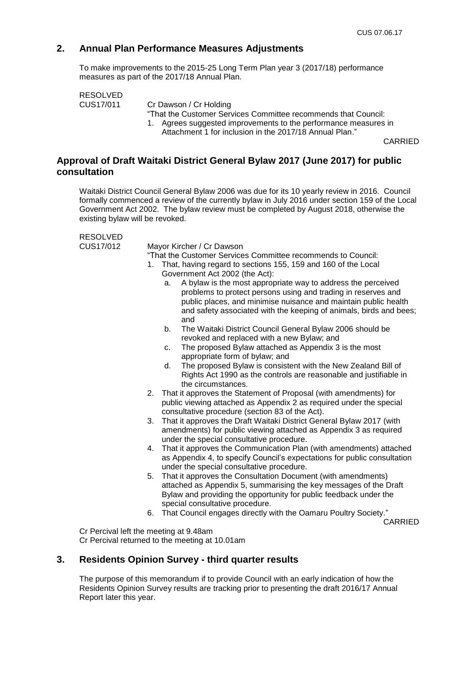# **2. Annual Plan Performance Measures Adjustments**

To make improvements to the 2015-25 Long Term Plan year 3 (2017/18) performance measures as part of the 2017/18 Annual Plan.

RESOLVED<br>CUS17/011

Cr Dawson / Cr Holding

"That the Customer Services Committee recommends that Council:

- 1. Agrees suggested improvements to the performance measures in
	- Attachment 1 for inclusion in the 2017/18 Annual Plan."

CARRIED

### **Approval of Draft Waitaki District General Bylaw 2017 (June 2017) for public consultation**

Waitaki District Council General Bylaw 2006 was due for its 10 yearly review in 2016. Council formally commenced a review of the currently bylaw in July 2016 under section 159 of the Local Government Act 2002. The bylaw review must be completed by August 2018, otherwise the existing bylaw will be revoked.

RESOLVED

CUS17/012 Mayor Kircher / Cr Dawson

"That the Customer Services Committee recommends to Council:

- 1. That, having regard to sections 155, 159 and 160 of the Local Government Act 2002 (the Act):
	- a. A bylaw is the most appropriate way to address the perceived problems to protect persons using and trading in reserves and public places, and minimise nuisance and maintain public health and safety associated with the keeping of animals, birds and bees; and
	- b. The Waitaki District Council General Bylaw 2006 should be revoked and replaced with a new Bylaw; and
	- c. The proposed Bylaw attached as Appendix 3 is the most appropriate form of bylaw; and
	- d. The proposed Bylaw is consistent with the New Zealand Bill of Rights Act 1990 as the controls are reasonable and justifiable in the circumstances.
- 2. That it approves the Statement of Proposal (with amendments) for public viewing attached as Appendix 2 as required under the special consultative procedure (section 83 of the Act).
- 3. That it approves the Draft Waitaki District General Bylaw 2017 (with amendments) for public viewing attached as Appendix 3 as required under the special consultative procedure.
- 4. That it approves the Communication Plan (with amendments) attached as Appendix 4, to specify Council's expectations for public consultation under the special consultative procedure.
- 5. That it approves the Consultation Document (with amendments) attached as Appendix 5, summarising the key messages of the Draft Bylaw and providing the opportunity for public feedback under the special consultative procedure.
- 6. That Council engages directly with the Oamaru Poultry Society."

CARRIED

Cr Percival left the meeting at 9.48am Cr Percival returned to the meeting at 10.01am

#### **3. Residents Opinion Survey - third quarter results**

The purpose of this memorandum if to provide Council with an early indication of how the Residents Opinion Survey results are tracking prior to presenting the draft 2016/17 Annual Report later this year.